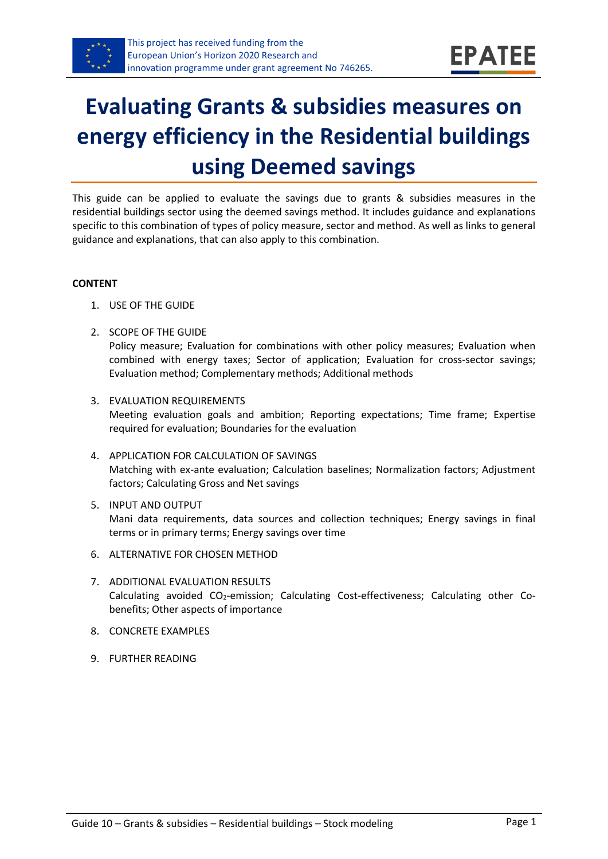

# **Evaluating Grants & subsidies measures on energy efficiency in the Residential buildings using Deemed savings**

This guide can be applied to evaluate the savings due to grants & subsidies measures in the residential buildings sector using the deemed savings method. It includes guidance and explanations specific to this combination of types of policy measure, sector and method. As well as links to general guidance and explanations, that can also apply to this combination.

#### **CONTENT**

- 1. USE OF THE GUIDE
- <span id="page-0-1"></span>2. SCOPE OF THE GUIDE

Policy measure; Evaluation for combinations with other policy measures; Evaluation when combined with energy taxes; Sector of application; Evaluation for cross-sector savings; Evaluation method; Complementary methods; Additional methods

- <span id="page-0-2"></span>3. EVALUATION REQUIREMENTS Meeting evaluation goals and ambition; Reporting expectations; Time frame; Expertise required for evaluation; Boundaries for the evaluation
- <span id="page-0-3"></span>4. APPLICATION FOR CALCULATION OF SAVINGS Matching with ex-ante evaluation; Calculation baselines; Normalization factors; Adjustment factors; Calculating Gross and Net savings
- <span id="page-0-4"></span>5. INPUT AND OUTPUT Mani data requirements, data sources and collection techniques; Energy savings in final terms or in primary terms; Energy savings over time
- <span id="page-0-0"></span>6. ALTERNATIVE FOR CHOSEN METHOD
- <span id="page-0-5"></span>7. ADDITIONAL EVALUATION RESULTS Calculating avoided CO2-emission; Calculating Cost-effectiveness; Calculating other Cobenefits; Other aspects of importance
- <span id="page-0-6"></span>8. CONCRETE EXAMPLES
- <span id="page-0-7"></span>9. FURTHER READING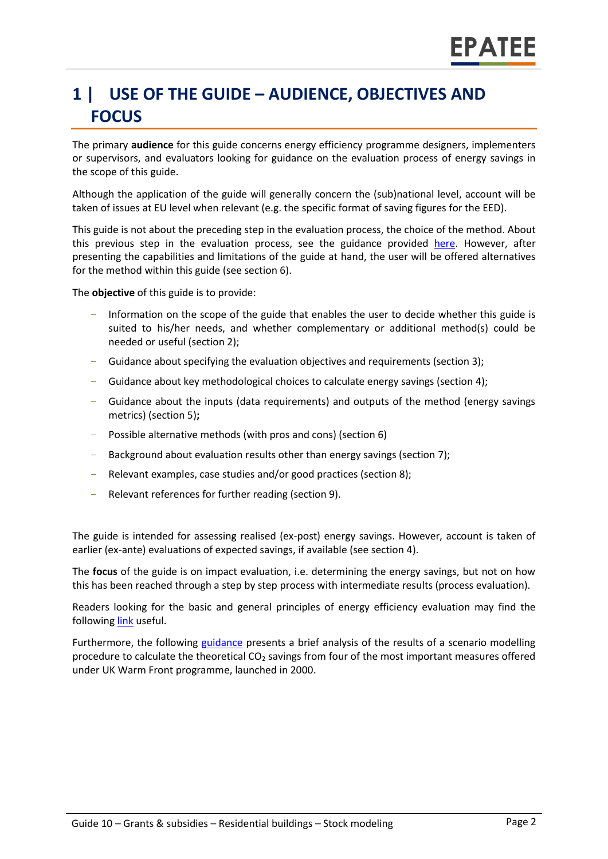# **1 | USE OF THE GUIDE – AUDIENCE, OBJECTIVES AND FOCUS**

The primary **audience** for this guide concerns energy efficiency programme designers, implementers or supervisors, and evaluators looking for guidance on the evaluation process of energy savings in the scope of this guide.

Although the application of the guide will generally concern the (sub)national level, account will be taken of issues at EU level when relevant (e.g. the specific format of saving figures for the EED).

This guide is not about the preceding step in the evaluation process, the choice of the method. About this previous step in the evaluation process, see the guidance provided [here.](https://www.epatee-toolbox.eu/wp-content/uploads/2019/04/epatee_integrating_evaluation_into_policy_cycle.pdf) However, after presenting the capabilities and limitations of the guide at hand, the user will be offered alternatives for the method within this guide (see section [6\)](#page-0-0).

The **objective** of this guide is to provide:

- Information on the scope of the guide that enables the user to decide whether this guide is suited to his/her needs, and whether complementary or additional method(s) could be needed or useful (sectio[n 2\)](#page-0-1);
- Guidance about specifying the evaluation objectives and requirements (section [3\)](#page-0-2);
- Guidance about key methodological choices to calculate energy savings (section [4\)](#page-0-3);
- Guidance about the inputs (data requirements) and outputs of the method (energy savings metrics) (sectio[n 5\)](#page-0-4)**;**
- Possible alternative methods (with pros and cons) (section [6\)](#page-0-0)
- Background about evaluation results other than energy savings (sectio[n 7\)](#page-0-5);
- Relevant examples, case studies and/or good practices (section [8\)](#page-0-6);
- Relevant references for further reading (section [9\)](#page-0-7).

The guide is intended for assessing realised (ex-post) energy savings. However, account is taken of earlier (ex-ante) evaluations of expected savings, if available (see section [4\)](#page-0-3).

The **focus** of the guide is on impact evaluation, i.e. determining the energy savings, but not on how this has been reached through a step by step process with intermediate results (process evaluation).

Readers looking for the basic and general principles of energy efficiency evaluation may find the followin[g link](https://www.epatee-toolbox.eu/evaluation-principles-and-methods/) useful.

Furthermore, the following [guidance](https://assets.publishing.service.gov.uk/government/uploads/system/uploads/attachment_data/file/48189/3148-co2-emissions-savings-warm-front.pdf) presents a brief analysis of the results of a scenario modelling procedure to calculate the theoretical CO<sup>2</sup> savings from four of the most important measures offered under UK Warm Front programme, launched in 2000.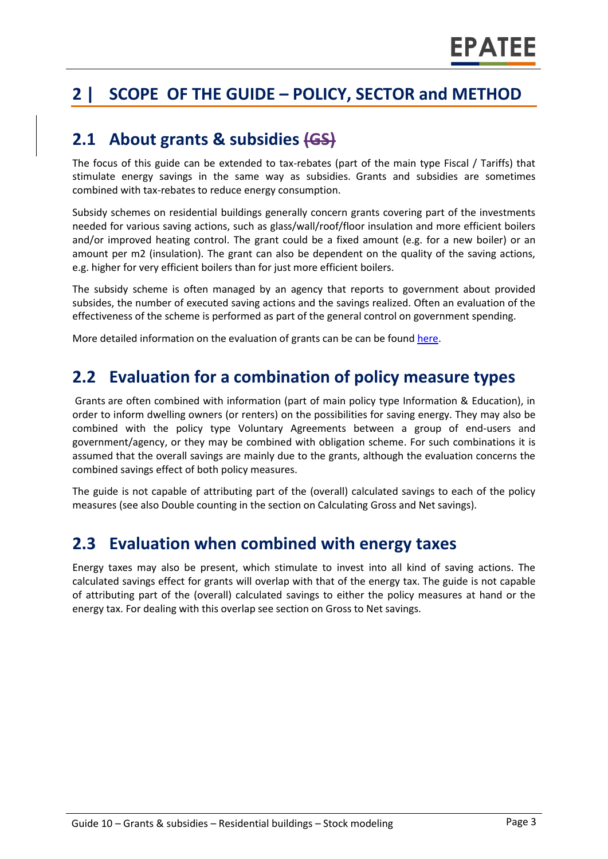# **2 | SCOPE OF THE GUIDE – POLICY, SECTOR and METHOD**

#### **2.1 About grants & subsidies (GS)**

The focus of this guide can be extended to tax-rebates (part of the main type Fiscal / Tariffs) that stimulate energy savings in the same way as subsidies. Grants and subsidies are sometimes combined with tax-rebates to reduce energy consumption.

Subsidy schemes on residential buildings generally concern grants covering part of the investments needed for various saving actions, such as glass/wall/roof/floor insulation and more efficient boilers and/or improved heating control. The grant could be a fixed amount (e.g. for a new boiler) or an amount per m2 (insulation). The grant can also be dependent on the quality of the saving actions, e.g. higher for very efficient boilers than for just more efficient boilers.

The subsidy scheme is often managed by an agency that reports to government about provided subsides, the number of executed saving actions and the savings realized. Often an evaluation of the effectiveness of the scheme is performed as part of the general control on government spending.

More detailed information on the evaluation of grants can be can be foun[d here.](https://ec.europa.eu/energy/intelligent/projects/en/projects/emeees)

#### **2.2 Evaluation for a combination of policy measure types**

Grants are often combined with information (part of main policy type Information & Education), in order to inform dwelling owners (or renters) on the possibilities for saving energy. They may also be combined with the policy type Voluntary Agreements between a group of end-users and government/agency, or they may be combined with obligation scheme. For such combinations it is assumed that the overall savings are mainly due to the grants, although the evaluation concerns the combined savings effect of both policy measures.

The guide is not capable of attributing part of the (overall) calculated savings to each of the policy measures (see also Double counting in the section on Calculating Gross and Net savings).

#### **2.3 Evaluation when combined with energy taxes**

Energy taxes may also be present, which stimulate to invest into all kind of saving actions. The calculated savings effect for grants will overlap with that of the energy tax. The guide is not capable of attributing part of the (overall) calculated savings to either the policy measures at hand or the energy tax. For dealing with this overlap see section on Gross to Net savings.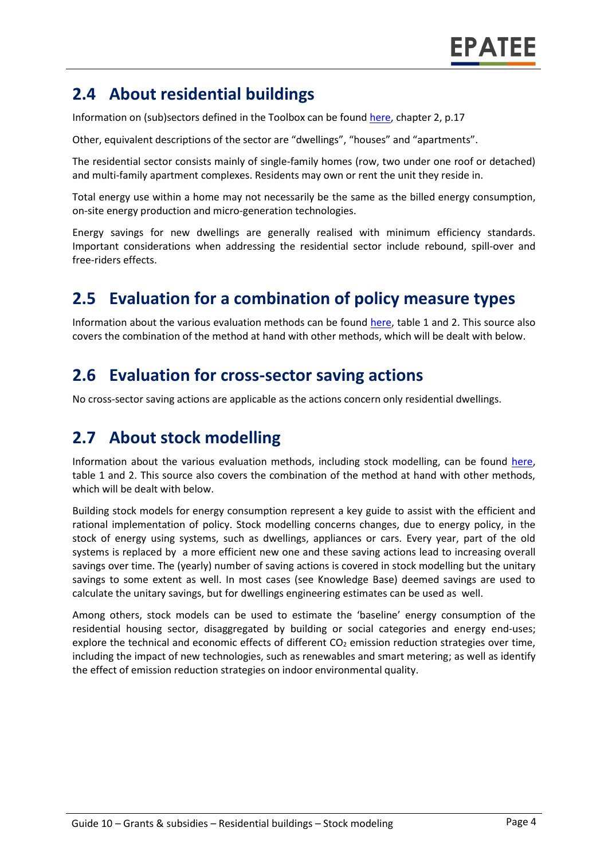### **2.4 About residential buildings**

Information on (sub)sectors defined in the Toolbox can be found [here,](https://www.epatee-toolbox.eu/wp-content/uploads/2018/10/Definitions-and-typologies-related-to-energy-savings-evaluation.pdf) chapter 2, p.17

Other, equivalent descriptions of the sector are "dwellings", "houses" and "apartments".

The residential sector consists mainly of single-family homes (row, two under one roof or detached) and multi-family apartment complexes. Residents may own or rent the unit they reside in.

Total energy use within a home may not necessarily be the same as the billed energy consumption, on-site energy production and micro-generation technologies.

Energy savings for new dwellings are generally realised with minimum efficiency standards. Important considerations when addressing the residential sector include rebound, spill-over and free-riders effects.

#### **2.5 Evaluation for a combination of policy measure types**

Information about the various evaluation methods can be found [here,](https://www.epatee-toolbox.eu/wp-content/uploads/2019/04/Saving_calculation_methods_for_EPATEE_Toobox_2019_04_24.pdf) table 1 and 2. This source also covers the combination of the method at hand with other methods, which will be dealt with below.

#### **2.6 Evaluation for cross-sector saving actions**

No cross-sector saving actions are applicable as the actions concern only residential dwellings.

#### **2.7 About stock modelling**

Information about the various evaluation methods, including stock modelling, can be found [here,](https://www.epatee-toolbox.eu/wp-content/uploads/2019/04/Saving_calculation_methods_for_EPATEE_Toobox_2019_04_24.pdf) table 1 and 2. This source also covers the combination of the method at hand with other methods, which will be dealt with below.

Building stock models for energy consumption represent a key guide to assist with the efficient and rational implementation of policy. Stock modelling concerns changes, due to energy policy, in the stock of energy using systems, such as dwellings, appliances or cars. Every year, part of the old systems is replaced by a more efficient new one and these saving actions lead to increasing overall savings over time. The (yearly) number of saving actions is covered in stock modelling but the unitary savings to some extent as well. In most cases (see Knowledge Base) deemed savings are used to calculate the unitary savings, but for dwellings engineering estimates can be used as well.

Among others, stock models can be used to estimate the 'baseline' energy consumption of the residential housing sector, disaggregated by building or social categories and energy end-uses; explore the technical and economic effects of different  $CO<sub>2</sub>$  emission reduction strategies over time, including the impact of new technologies, such as renewables and smart metering; as well as identify the effect of emission reduction strategies on indoor environmental quality.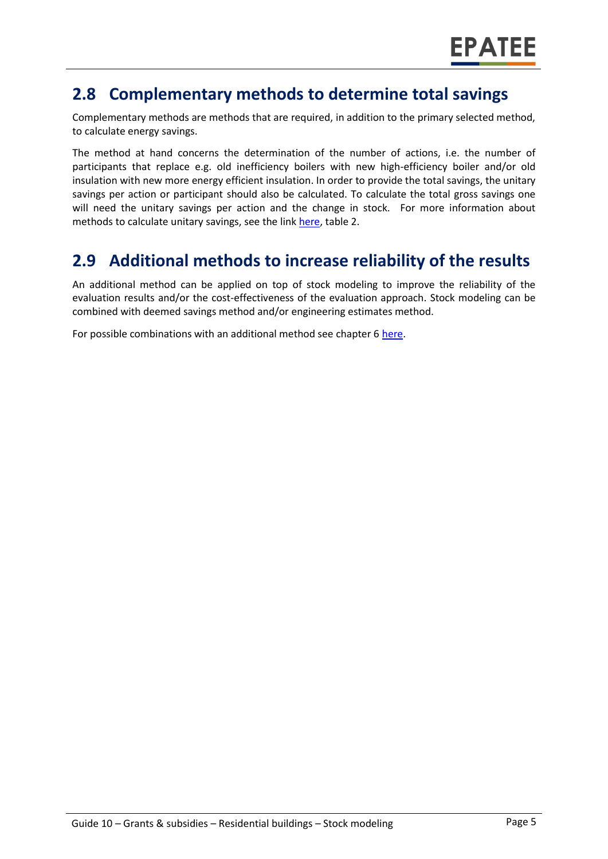#### **2.8 Complementary methods to determine total savings**

Complementary methods are methods that are required, in addition to the primary selected method, to calculate energy savings.

The method at hand concerns the determination of the number of actions, i.e. the number of participants that replace e.g. old inefficiency boilers with new high-efficiency boiler and/or old insulation with new more energy efficient insulation. In order to provide the total savings, the unitary savings per action or participant should also be calculated. To calculate the total gross savings one will need the unitary savings per action and the change in stock. For more information about methods to calculate unitary savings, see the lin[k here,](https://www.epatee-toolbox.eu/wp-content/uploads/2019/04/Saving_calculation_methods_for_EPATEE_Toobox_2019_04_24.pdf) table 2.

### **2.9 Additional methods to increase reliability of the results**

An additional method can be applied on top of stock modeling to improve the reliability of the evaluation results and/or the cost-effectiveness of the evaluation approach. Stock modeling can be combined with deemed savings method and/or engineering estimates method.

For possible combinations with an additional method see chapter 6 [here.](https://www.epatee-toolbox.eu/wp-content/uploads/2019/04/Saving_calculation_methods_for_EPATEE_Toobox_2019_04_24.pdf)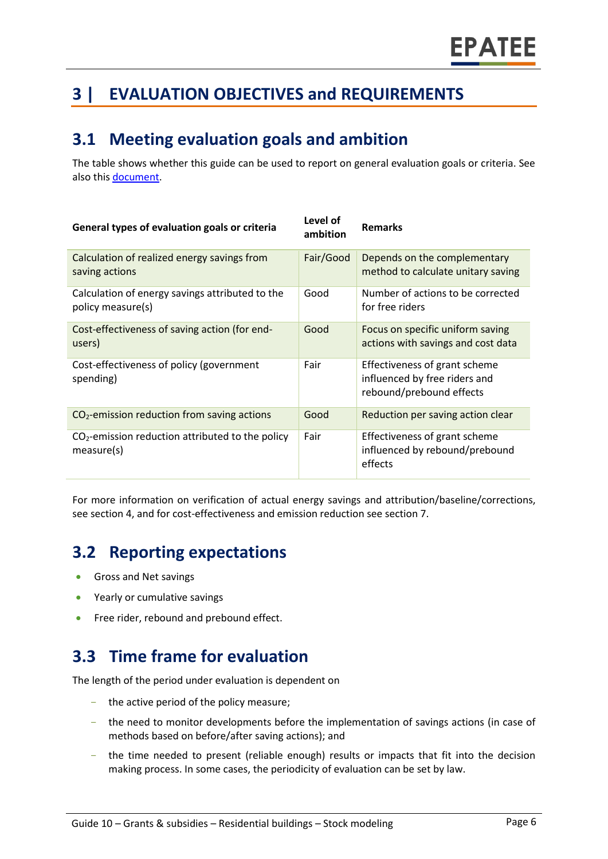# **3 | EVALUATION OBJECTIVES and REQUIREMENTS**

### **3.1 Meeting evaluation goals and ambition**

The table shows whether this guide can be used to report on general evaluation goals or criteria. See also this [document.](https://ec.europa.eu/energy/intelligent/projects/sites/iee-projects/files/projects/documents/emeees_project_report_en.pdf)

| General types of evaluation goals or criteria                        | Level of<br>ambition | <b>Remarks</b>                                                                             |
|----------------------------------------------------------------------|----------------------|--------------------------------------------------------------------------------------------|
| Calculation of realized energy savings from<br>saving actions        | Fair/Good            | Depends on the complementary<br>method to calculate unitary saving                         |
| Calculation of energy savings attributed to the<br>policy measure(s) | Good                 | Number of actions to be corrected<br>for free riders                                       |
| Cost-effectiveness of saving action (for end-<br>users)              | Good                 | Focus on specific uniform saving<br>actions with savings and cost data                     |
| Cost-effectiveness of policy (government<br>spending)                | Fair                 | Effectiveness of grant scheme<br>influenced by free riders and<br>rebound/prebound effects |
| $CO2$ -emission reduction from saving actions                        | Good                 | Reduction per saving action clear                                                          |
| $CO2$ -emission reduction attributed to the policy<br>measure(s)     | Fair                 | Effectiveness of grant scheme<br>influenced by rebound/prebound<br>effects                 |

For more information on verification of actual energy savings and attribution/baseline/corrections, see section 4, and for cost-effectiveness and emission reduction see section 7.

### **3.2 Reporting expectations**

- Gross and Net savings
- Yearly or cumulative savings
- Free rider, rebound and prebound effect.

### **3.3 Time frame for evaluation**

The length of the period under evaluation is dependent on

- the active period of the policy measure;
- the need to monitor developments before the implementation of savings actions (in case of methods based on before/after saving actions); and
- the time needed to present (reliable enough) results or impacts that fit into the decision making process. In some cases, the periodicity of evaluation can be set by law.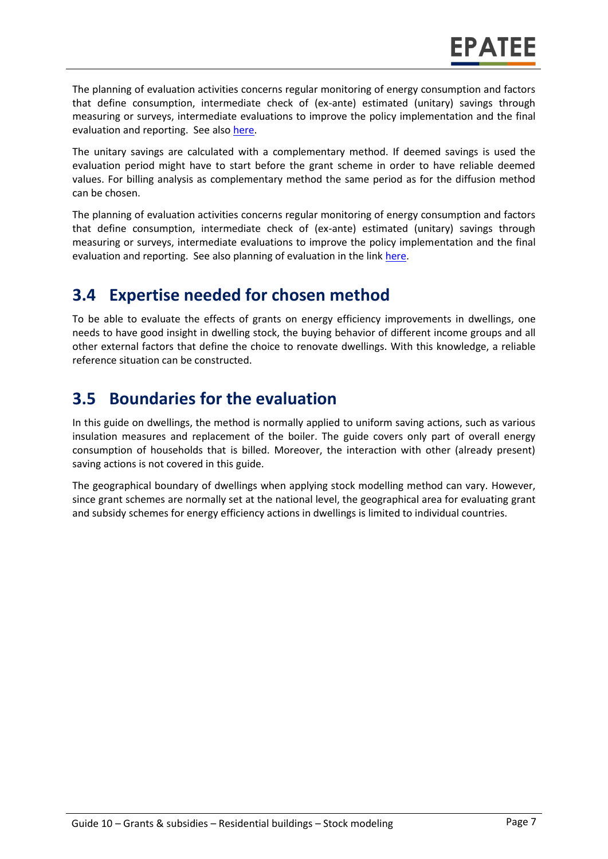The planning of evaluation activities concerns regular monitoring of energy consumption and factors that define consumption, intermediate check of (ex-ante) estimated (unitary) savings through measuring or surveys, intermediate evaluations to improve the policy implementation and the final evaluation and reporting. See also [here.](https://www.epatee-toolbox.eu/wp-content/uploads/2019/04/epatee_integrating_evaluation_into_policy_cycle.pdf)

The unitary savings are calculated with a complementary method. If deemed savings is used the evaluation period might have to start before the grant scheme in order to have reliable deemed values. For billing analysis as complementary method the same period as for the diffusion method can be chosen.

The planning of evaluation activities concerns regular monitoring of energy consumption and factors that define consumption, intermediate check of (ex-ante) estimated (unitary) savings through measuring or surveys, intermediate evaluations to improve the policy implementation and the final evaluation and reporting. See also planning of evaluation in the link [here.](https://www.epatee-toolbox.eu/wp-content/uploads/2019/04/epatee_integrating_evaluation_into_policy_cycle.pdf)

#### **3.4 Expertise needed for chosen method**

To be able to evaluate the effects of grants on energy efficiency improvements in dwellings, one needs to have good insight in dwelling stock, the buying behavior of different income groups and all other external factors that define the choice to renovate dwellings. With this knowledge, a reliable reference situation can be constructed.

#### **3.5 Boundaries for the evaluation**

In this guide on dwellings, the method is normally applied to uniform saving actions, such as various insulation measures and replacement of the boiler. The guide covers only part of overall energy consumption of households that is billed. Moreover, the interaction with other (already present) saving actions is not covered in this guide.

The geographical boundary of dwellings when applying stock modelling method can vary. However, since grant schemes are normally set at the national level, the geographical area for evaluating grant and subsidy schemes for energy efficiency actions in dwellings is limited to individual countries.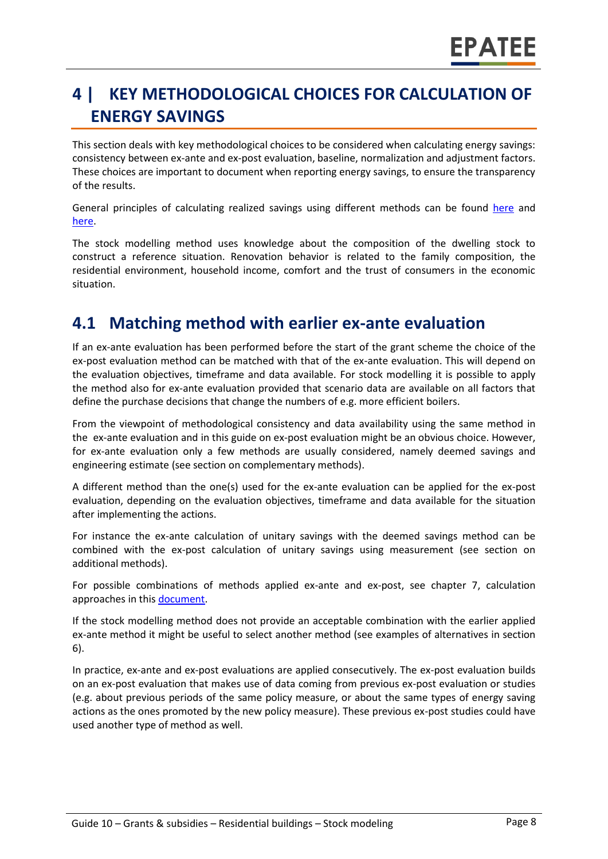# **4 | KEY METHODOLOGICAL CHOICES FOR CALCULATION OF ENERGY SAVINGS**

This section deals with key methodological choices to be considered when calculating energy savings: consistency between ex-ante and ex-post evaluation, baseline, normalization and adjustment factors. These choices are important to document when reporting energy savings, to ensure the transparency of the results.

General principles of calculating realized savings using different methods can be found [here](https://www.epatee-lib.eu/media/docs/D4_EMEEES_Final.pdf) and [here.](https://www.epatee-lib.eu/media/docs/EMEEES_WP3_Report_Final.pdf)

The stock modelling method uses knowledge about the composition of the dwelling stock to construct a reference situation. Renovation behavior is related to the family composition, the residential environment, household income, comfort and the trust of consumers in the economic situation.

#### **4.1 Matching method with earlier ex-ante evaluation**

If an ex-ante evaluation has been performed before the start of the grant scheme the choice of the ex-post evaluation method can be matched with that of the ex-ante evaluation. This will depend on the evaluation objectives, timeframe and data available. For stock modelling it is possible to apply the method also for ex-ante evaluation provided that scenario data are available on all factors that define the purchase decisions that change the numbers of e.g. more efficient boilers.

From the viewpoint of methodological consistency and data availability using the same method in the ex-ante evaluation and in this guide on ex-post evaluation might be an obvious choice. However, for ex-ante evaluation only a few methods are usually considered, namely deemed savings and engineering estimate (see section on complementary methods).

A different method than the one(s) used for the ex-ante evaluation can be applied for the ex-post evaluation, depending on the evaluation objectives, timeframe and data available for the situation after implementing the actions.

For instance the ex-ante calculation of unitary savings with the deemed savings method can be combined with the ex-post calculation of unitary savings using measurement (see section on additional methods).

For possible combinations of methods applied ex-ante and ex-post, see chapter 7, calculation approaches in this [document.](https://www.epatee-toolbox.eu/wp-content/uploads/2019/04/Saving_calculation_methods_for_EPATEE_Toobox_2019_04_24.pdf)

If the stock modelling method does not provide an acceptable combination with the earlier applied ex-ante method it might be useful to select another method (see examples of alternatives in section [6\)](#page-0-0).

In practice, ex-ante and ex-post evaluations are applied consecutively. The ex-post evaluation builds on an ex-post evaluation that makes use of data coming from previous ex-post evaluation or studies (e.g. about previous periods of the same policy measure, or about the same types of energy saving actions as the ones promoted by the new policy measure). These previous ex-post studies could have used another type of method as well.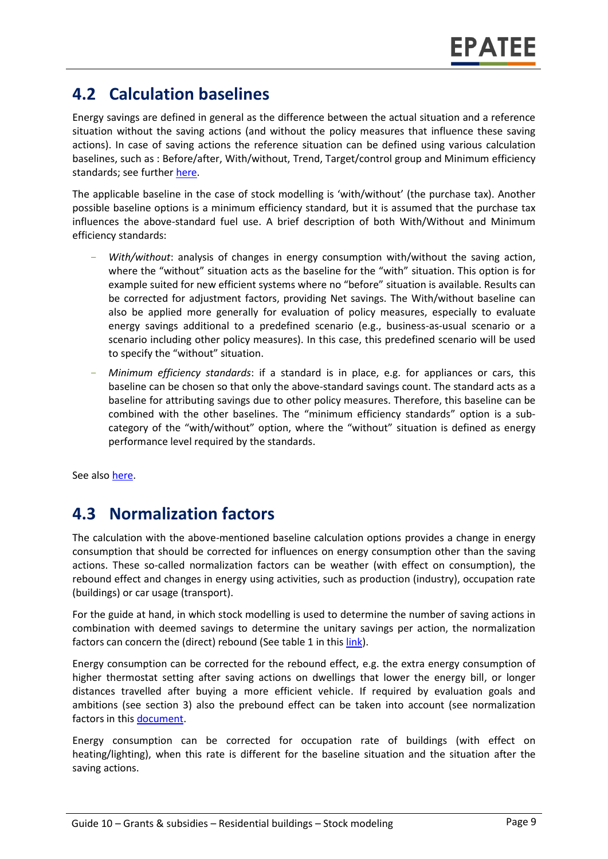#### **4.2 Calculation baselines**

Energy savings are defined in general as the difference between the actual situation and a reference situation without the saving actions (and without the policy measures that influence these saving actions). In case of saving actions the reference situation can be defined using various calculation baselines, such as : Before/after, With/without, Trend, Target/control group and Minimum efficiency standards; see further [here.](https://www.epatee-toolbox.eu/wp-content/uploads/2019/04/Application_of_KB_savings_baselines_and_correction_factors_in_the_Toolbox_and_PSMCs_190418_.pdf)

The applicable baseline in the case of stock modelling is 'with/without' (the purchase tax). Another possible baseline options is a minimum efficiency standard, but it is assumed that the purchase tax influences the above-standard fuel use. A brief description of both With/Without and Minimum efficiency standards:

- *With/without*: analysis of changes in energy consumption with/without the saving action, where the "without" situation acts as the baseline for the "with" situation. This option is for example suited for new efficient systems where no "before" situation is available. Results can be corrected for adjustment factors, providing Net savings. The With/without baseline can also be applied more generally for evaluation of policy measures, especially to evaluate energy savings additional to a predefined scenario (e.g., business-as-usual scenario or a scenario including other policy measures). In this case, this predefined scenario will be used to specify the "without" situation.
- *Minimum efficiency standards*: if a standard is in place, e.g. for appliances or cars, this baseline can be chosen so that only the above-standard savings count. The standard acts as a baseline for attributing savings due to other policy measures. Therefore, this baseline can be combined with the other baselines. The "minimum efficiency standards" option is a subcategory of the "with/without" option, where the "without" situation is defined as energy performance level required by the standards.

See also [here.](https://www.epatee-toolbox.eu/wp-content/uploads/2019/04/Application_of_KB_savings_baselines_and_correction_factors_in_the_Toolbox_and_PSMCs_190418_.pdf)

### **4.3 Normalization factors**

The calculation with the above-mentioned baseline calculation options provides a change in energy consumption that should be corrected for influences on energy consumption other than the saving actions. These so-called normalization factors can be weather (with effect on consumption), the rebound effect and changes in energy using activities, such as production (industry), occupation rate (buildings) or car usage (transport).

For the guide at hand, in which stock modelling is used to determine the number of saving actions in combination with deemed savings to determine the unitary savings per action, the normalization factors can concern the (direct) rebound (See table 1 in this [link\)](https://www.epatee-toolbox.eu/wp-content/uploads/2019/04/Saving_calculation_methods_for_EPATEE_Toobox_2019_04_24.pdf).

Energy consumption can be corrected for the rebound effect, e.g. the extra energy consumption of higher thermostat setting after saving actions on dwellings that lower the energy bill, or longer distances travelled after buying a more efficient vehicle. If required by evaluation goals and ambitions (see section 3) also the prebound effect can be taken into account (see normalization factors in this [document.](https://www.epatee-toolbox.eu/wp-content/uploads/2019/04/Saving_calculation_methods_for_EPATEE_Toobox_2019_04_24.pdf)

Energy consumption can be corrected for occupation rate of buildings (with effect on heating/lighting), when this rate is different for the baseline situation and the situation after the saving actions.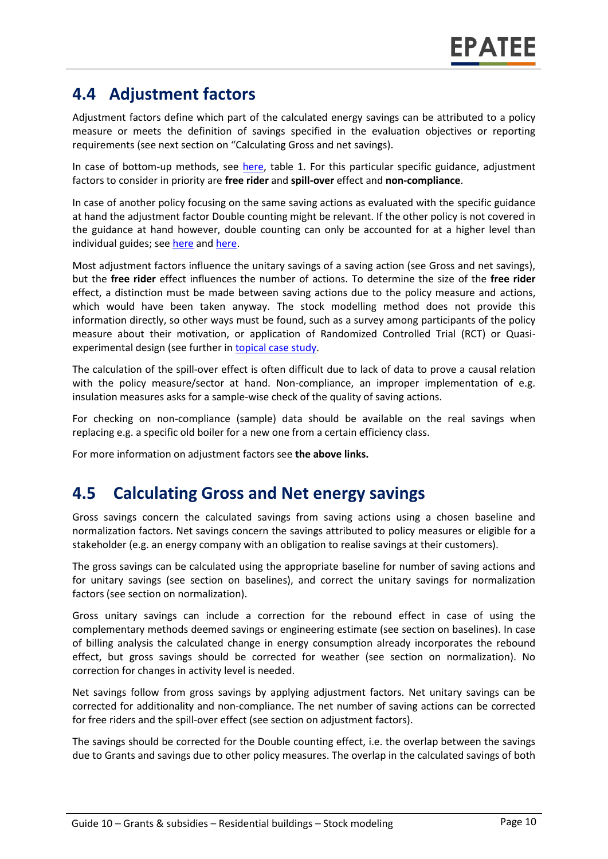#### **4.4 Adjustment factors**

Adjustment factors define which part of the calculated energy savings can be attributed to a policy measure or meets the definition of savings specified in the evaluation objectives or reporting requirements (see next section on "Calculating Gross and net savings).

In case of bottom-up methods, see [here,](https://www.epatee-toolbox.eu/wp-content/uploads/2019/04/Saving_calculation_methods_for_EPATEE_Toobox_2019_04_24.pdf) table 1. For this particular specific guidance, adjustment factors to consider in priority are **free rider** and **spill-over** effect and **non-compliance**.

In case of another policy focusing on the same saving actions as evaluated with the specific guidance at hand the adjustment factor Double counting might be relevant. If the other policy is not covered in the guidance at hand however, double counting can only be accounted for at a higher level than individual guides; see [here](https://ec.europa.eu/energy/intelligent/projects/sites/iee-projects/files/projects/documents/emeees_project_report_en.pdf) and [here.](https://www.academia.edu/14979876/Evaluating_energy_efficiency_policy_measures_and_DSM_programmes)

Most adjustment factors influence the unitary savings of a saving action (see Gross and net savings), but the **free rider** effect influences the number of actions. To determine the size of the **free rider** effect, a distinction must be made between saving actions due to the policy measure and actions, which would have been taken anyway. The stock modelling method does not provide this information directly, so other ways must be found, such as a survey among participants of the policy measure about their motivation, or application of Randomized Controlled Trial (RCT) or Quasiexperimental design (see further i[n topical case study.](https://www.epatee-toolbox.eu/wp-content/uploads/2018/10/epatee_topical_case_study_evaluating_net_energy_savings.pdf)

The calculation of the spill-over effect is often difficult due to lack of data to prove a causal relation with the policy measure/sector at hand. Non-compliance, an improper implementation of e.g. insulation measures asks for a sample-wise check of the quality of saving actions.

For checking on non-compliance (sample) data should be available on the real savings when replacing e.g. a specific old boiler for a new one from a certain efficiency class.

For more information on adjustment factors see **the above links.**

#### **4.5 Calculating Gross and Net energy savings**

Gross savings concern the calculated savings from saving actions using a chosen baseline and normalization factors. Net savings concern the savings attributed to policy measures or eligible for a stakeholder (e.g. an energy company with an obligation to realise savings at their customers).

The gross savings can be calculated using the appropriate baseline for number of saving actions and for unitary savings (see section on baselines), and correct the unitary savings for normalization factors (see section on normalization).

Gross unitary savings can include a correction for the rebound effect in case of using the complementary methods deemed savings or engineering estimate (see section on baselines). In case of billing analysis the calculated change in energy consumption already incorporates the rebound effect, but gross savings should be corrected for weather (see section on normalization). No correction for changes in activity level is needed.

Net savings follow from gross savings by applying adjustment factors. Net unitary savings can be corrected for additionality and non-compliance. The net number of saving actions can be corrected for free riders and the spill-over effect (see section on adjustment factors).

The savings should be corrected for the Double counting effect, i.e. the overlap between the savings due to Grants and savings due to other policy measures. The overlap in the calculated savings of both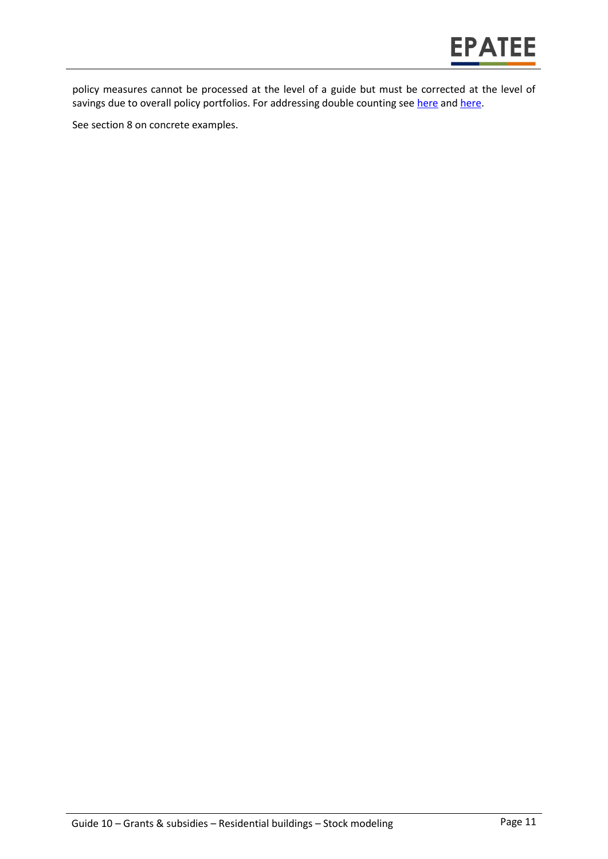

policy measures cannot be processed at the level of a guide but must be corrected at the level of savings due to overall policy portfolios. For addressing double counting see [here](https://www.academia.edu/14979876/Evaluating_energy_efficiency_policy_measures_and_DSM_programmes) and [here.](https://ec.europa.eu/energy/intelligent/projects/en/projects/emeees)

See section 8 on concrete examples.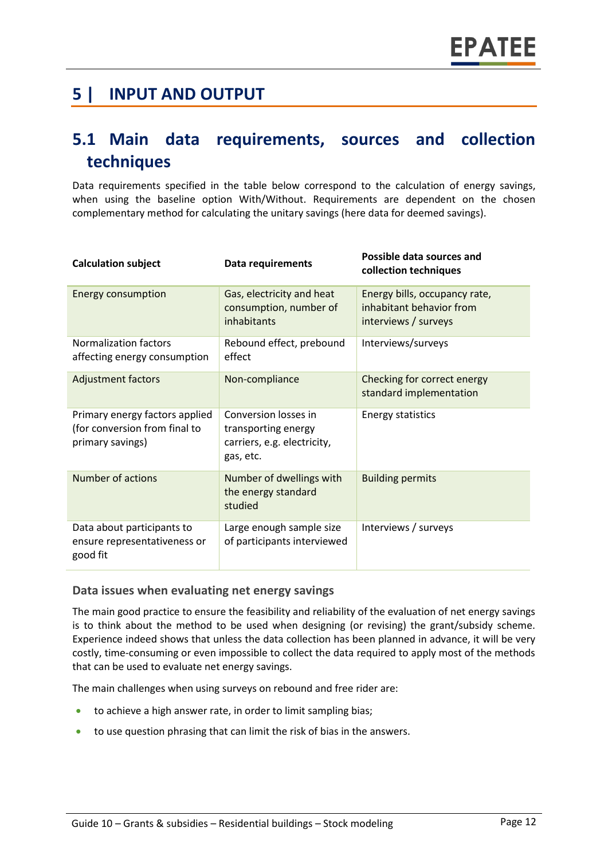#### **5 | INPUT AND OUTPUT**

#### **5.1 Main data requirements, sources and collection techniques**

Data requirements specified in the table below correspond to the calculation of energy savings, when using the baseline option With/Without. Requirements are dependent on the chosen complementary method for calculating the unitary savings (here data for deemed savings).

| <b>Calculation subject</b>                                                          | <b>Data requirements</b>                                                                | Possible data sources and<br>collection techniques                                |
|-------------------------------------------------------------------------------------|-----------------------------------------------------------------------------------------|-----------------------------------------------------------------------------------|
| <b>Energy consumption</b>                                                           | Gas, electricity and heat<br>consumption, number of<br>inhabitants                      | Energy bills, occupancy rate,<br>inhabitant behavior from<br>interviews / surveys |
| <b>Normalization factors</b><br>affecting energy consumption                        | Rebound effect, prebound<br>effect                                                      | Interviews/surveys                                                                |
| <b>Adjustment factors</b>                                                           | Non-compliance                                                                          | Checking for correct energy<br>standard implementation                            |
| Primary energy factors applied<br>(for conversion from final to<br>primary savings) | Conversion losses in<br>transporting energy<br>carriers, e.g. electricity,<br>gas, etc. | <b>Energy statistics</b>                                                          |
| Number of actions                                                                   | Number of dwellings with<br>the energy standard<br>studied                              | <b>Building permits</b>                                                           |
| Data about participants to<br>ensure representativeness or<br>good fit              | Large enough sample size<br>of participants interviewed                                 | Interviews / surveys                                                              |

#### **Data issues when evaluating net energy savings**

The main good practice to ensure the feasibility and reliability of the evaluation of net energy savings is to think about the method to be used when designing (or revising) the grant/subsidy scheme. Experience indeed shows that unless the data collection has been planned in advance, it will be very costly, time-consuming or even impossible to collect the data required to apply most of the methods that can be used to evaluate net energy savings.

The main challenges when using surveys on rebound and free rider are:

- to achieve a high answer rate, in order to limit sampling bias;
- to use question phrasing that can limit the risk of bias in the answers.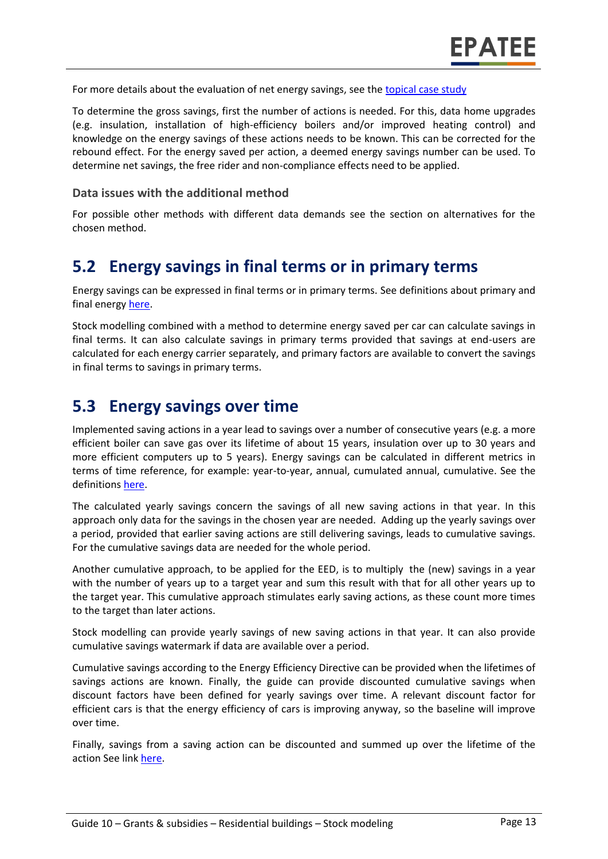For more details about the evaluation of net energy savings, see the [topical case study](https://www.epatee-toolbox.eu/wp-content/uploads/2018/10/epatee_topical_case_study_evaluating_net_energy_savings.pdf)

To determine the gross savings, first the number of actions is needed. For this, data home upgrades (e.g. insulation, installation of high-efficiency boilers and/or improved heating control) and knowledge on the energy savings of these actions needs to be known. This can be corrected for the rebound effect. For the energy saved per action, a deemed energy savings number can be used. To determine net savings, the free rider and non-compliance effects need to be applied.

#### **Data issues with the additional method**

For possible other methods with different data demands see the section on alternatives for the chosen method.

#### **5.2 Energy savings in final terms or in primary terms**

Energy savings can be expressed in final terms or in primary terms. See definitions about primary and final energy [here.](https://www.epatee-toolbox.eu/wp-content/uploads/2018/10/Definitions-and-typologies-related-to-energy-savings-evaluation.pdf)

Stock modelling combined with a method to determine energy saved per car can calculate savings in final terms. It can also calculate savings in primary terms provided that savings at end-users are calculated for each energy carrier separately, and primary factors are available to convert the savings in final terms to savings in primary terms.

#### **5.3 Energy savings over time**

Implemented saving actions in a year lead to savings over a number of consecutive years (e.g. a more efficient boiler can save gas over its lifetime of about 15 years, insulation over up to 30 years and more efficient computers up to 5 years). Energy savings can be calculated in different metrics in terms of time reference, for example: year-to-year, annual, cumulated annual, cumulative. See the definitions [here.](https://www.epatee-toolbox.eu/wp-content/uploads/2018/10/Definitions-and-typologies-related-to-energy-savings-evaluation.pdf)

The calculated yearly savings concern the savings of all new saving actions in that year. In this approach only data for the savings in the chosen year are needed. Adding up the yearly savings over a period, provided that earlier saving actions are still delivering savings, leads to cumulative savings. For the cumulative savings data are needed for the whole period.

Another cumulative approach, to be applied for the EED, is to multiply the (new) savings in a year with the number of years up to a target year and sum this result with that for all other years up to the target year. This cumulative approach stimulates early saving actions, as these count more times to the target than later actions.

Stock modelling can provide yearly savings of new saving actions in that year. It can also provide cumulative savings watermark if data are available over a period.

Cumulative savings according to the Energy Efficiency Directive can be provided when the lifetimes of savings actions are known. Finally, the guide can provide discounted cumulative savings when discount factors have been defined for yearly savings over time. A relevant discount factor for efficient cars is that the energy efficiency of cars is improving anyway, so the baseline will improve over time.

Finally, savings from a saving action can be discounted and summed up over the lifetime of the action See link [here.](https://www.epatee-toolbox.eu/wp-content/uploads/2018/10/Definitions-and-typologies-related-to-energy-savings-evaluation.pdf)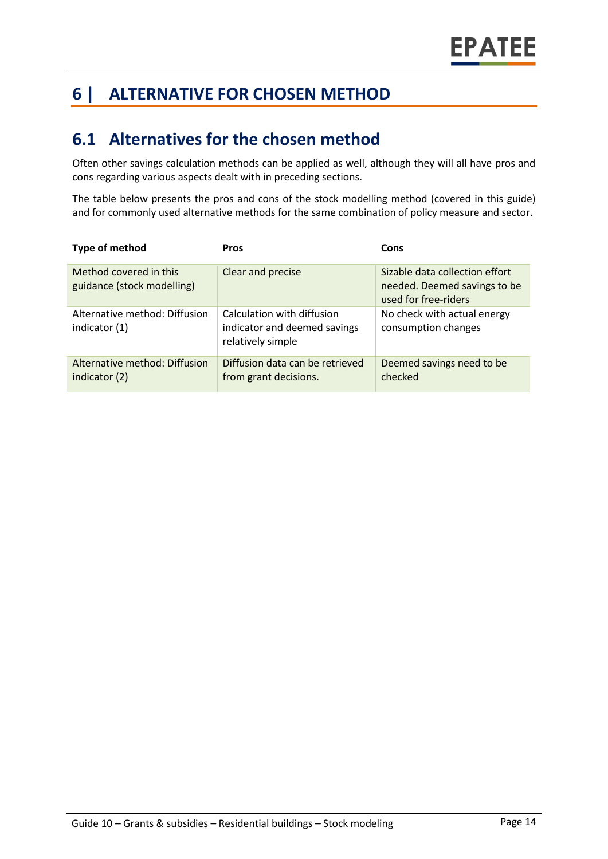# **6 | ALTERNATIVE FOR CHOSEN METHOD**

#### **6.1 Alternatives for the chosen method**

Often other savings calculation methods can be applied as well, although they will all have pros and cons regarding various aspects dealt with in preceding sections.

The table below presents the pros and cons of the stock modelling method (covered in this guide) and for commonly used alternative methods for the same combination of policy measure and sector.

| Type of method                                       | <b>Pros</b>                                                                     | Cons                                                                                   |
|------------------------------------------------------|---------------------------------------------------------------------------------|----------------------------------------------------------------------------------------|
| Method covered in this<br>guidance (stock modelling) | Clear and precise                                                               | Sizable data collection effort<br>needed. Deemed savings to be<br>used for free-riders |
| Alternative method: Diffusion<br>indicator (1)       | Calculation with diffusion<br>indicator and deemed savings<br>relatively simple | No check with actual energy<br>consumption changes                                     |
| Alternative method: Diffusion<br>indicator (2)       | Diffusion data can be retrieved<br>from grant decisions.                        | Deemed savings need to be<br>checked                                                   |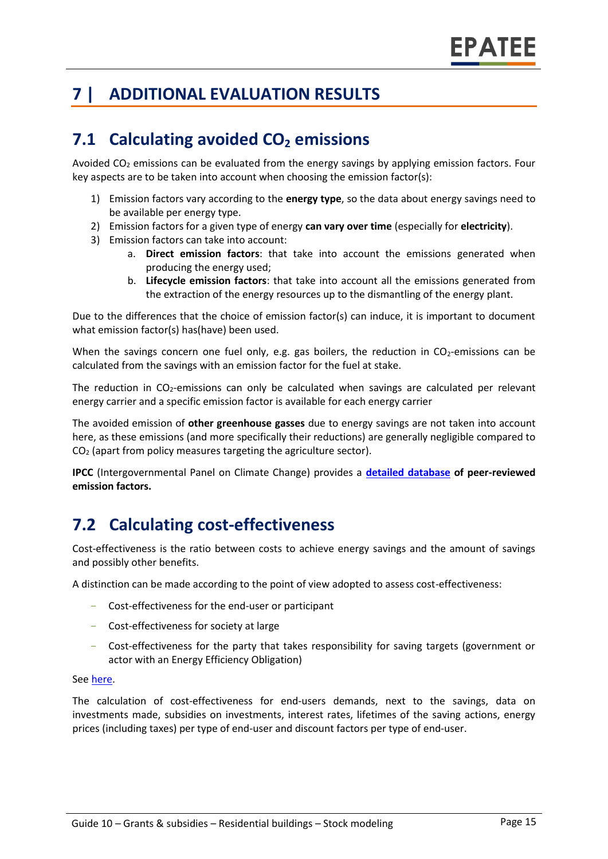# **7 | ADDITIONAL EVALUATION RESULTS**

## **7.1 Calculating avoided CO<sup>2</sup> emissions**

Avoided  $CO<sub>2</sub>$  emissions can be evaluated from the energy savings by applying emission factors. Four key aspects are to be taken into account when choosing the emission factor(s):

- 1) Emission factors vary according to the **energy type**, so the data about energy savings need to be available per energy type.
- 2) Emission factors for a given type of energy **can vary over time** (especially for **electricity**).
- 3) Emission factors can take into account:
	- a. **Direct emission factors**: that take into account the emissions generated when producing the energy used;
	- b. **Lifecycle emission factors**: that take into account all the emissions generated from the extraction of the energy resources up to the dismantling of the energy plant.

Due to the differences that the choice of emission factor(s) can induce, it is important to document what emission factor(s) has(have) been used.

When the savings concern one fuel only, e.g. gas boilers, the reduction in  $CO<sub>2</sub>$ -emissions can be calculated from the savings with an emission factor for the fuel at stake.

The reduction in  $CO<sub>2</sub>$ -emissions can only be calculated when savings are calculated per relevant energy carrier and a specific emission factor is available for each energy carrier

The avoided emission of **other greenhouse gasses** due to energy savings are not taken into account here, as these emissions (and more specifically their reductions) are generally negligible compared to CO<sup>2</sup> (apart from policy measures targeting the agriculture sector).

**IPCC** (Intergovernmental Panel on Climate Change) provides a **[detailed database](https://www.ipcc-nggip.iges.or.jp/EFDB/main.php) of peer-reviewed emission factors.** 

# **7.2 Calculating cost-effectiveness**

Cost-effectiveness is the ratio between costs to achieve energy savings and the amount of savings and possibly other benefits.

A distinction can be made according to the point of view adopted to assess cost-effectiveness:

- Cost-effectiveness for the end-user or participant
- Cost-effectiveness for society at large
- Cost-effectiveness for the party that takes responsibility for saving targets (government or actor with an Energy Efficiency Obligation)

#### See [here.](https://epatee.eu/reports)

The calculation of cost-effectiveness for end-users demands, next to the savings, data on investments made, subsidies on investments, interest rates, lifetimes of the saving actions, energy prices (including taxes) per type of end-user and discount factors per type of end-user.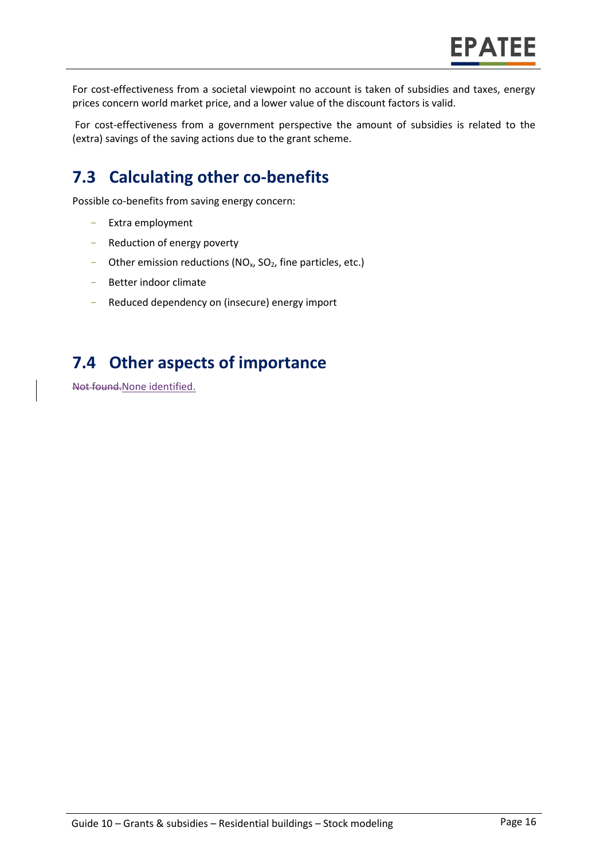For cost-effectiveness from a societal viewpoint no account is taken of subsidies and taxes, energy prices concern world market price, and a lower value of the discount factors is valid.

For cost-effectiveness from a government perspective the amount of subsidies is related to the (extra) savings of the saving actions due to the grant scheme.

# **7.3 Calculating other co-benefits**

Possible co-benefits from saving energy concern:

- Extra employment
- Reduction of energy poverty
- Other emission reductions ( $NO<sub>x</sub>$ ,  $SO<sub>2</sub>$ , fine particles, etc.)
- Better indoor climate
- Reduced dependency on (insecure) energy import

### **7.4 Other aspects of importance**

Not found.None identified.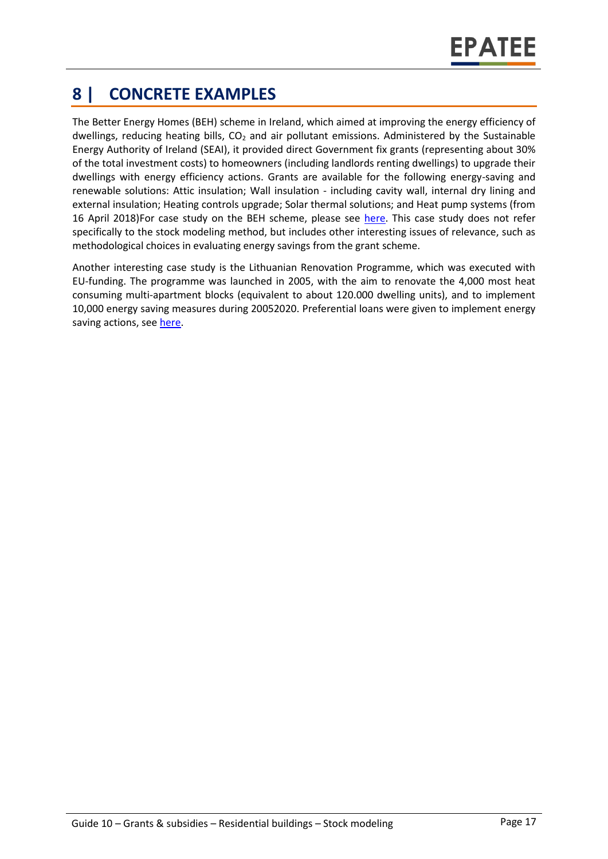# **8 | CONCRETE EXAMPLES**

The Better Energy Homes (BEH) scheme in Ireland, which aimed at improving the energy efficiency of dwellings, reducing heating bills,  $CO<sub>2</sub>$  and air pollutant emissions. Administered by the Sustainable Energy Authority of Ireland (SEAI), it provided direct Government fix grants (representing about 30% of the total investment costs) to homeowners (including landlords renting dwellings) to upgrade their dwellings with energy efficiency actions. Grants are available for the following energy-saving and renewable solutions: Attic insulation; Wall insulation - including cavity wall, internal dry lining and external insulation; Heating controls upgrade; Solar thermal solutions; and Heat pump systems (from 16 April 2018)For case study on the BEH scheme, please see [here.](https://www.epatee-toolbox.eu/wp-content/uploads/2018/10/epatee_case_study_ireland_better_energy_homes_ok.pdf) This case study does not refer specifically to the stock modeling method, but includes other interesting issues of relevance, such as methodological choices in evaluating energy savings from the grant scheme.

Another interesting case study is the Lithuanian Renovation Programme, which was executed with EU-funding. The programme was launched in 2005, with the aim to renovate the 4,000 most heat consuming multi-apartment blocks (equivalent to about 120.000 dwelling units), and to implement 10,000 energy saving measures during 20052020. Preferential loans were given to implement energy saving actions, see [here.](https://www.epatee-toolbox.eu/wp-content/uploads/2018/10/epatee_case_study_lithuania_renovation_programme_with_eu_funding_ok.pdf)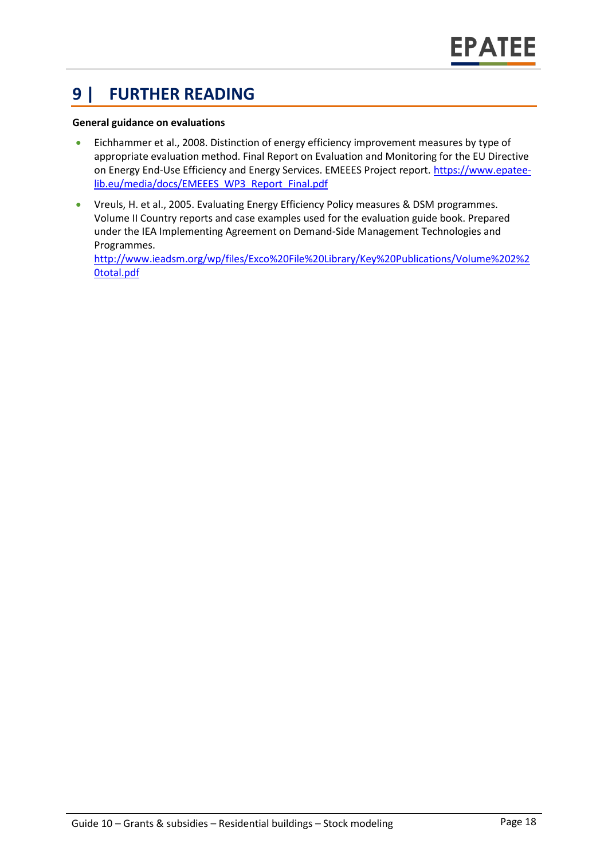### **9 | FURTHER READING**

#### **General guidance on evaluations**

- Eichhammer et al., 2008. Distinction of energy efficiency improvement measures by type of appropriate evaluation method. Final Report on Evaluation and Monitoring for the EU Directive on Energy End-Use Efficiency and Energy Services. EMEEES Project report[. https://www.epatee](https://www.epatee-lib.eu/media/docs/EMEEES_WP3_Report_Final.pdf)[lib.eu/media/docs/EMEEES\\_WP3\\_Report\\_Final.pdf](https://www.epatee-lib.eu/media/docs/EMEEES_WP3_Report_Final.pdf)
- Vreuls, H. et al., 2005. Evaluating Energy Efficiency Policy measures & DSM programmes. Volume II Country reports and case examples used for the evaluation guide book. Prepared under the IEA Implementing Agreement on Demand-Side Management Technologies and Programmes.

[http://www.ieadsm.org/wp/files/Exco%20File%20Library/Key%20Publications/Volume%202%2](http://www.ieadsm.org/wp/files/Exco%20File%20Library/Key%20Publications/Volume%202%20total.pdf) [0total.pdf](http://www.ieadsm.org/wp/files/Exco%20File%20Library/Key%20Publications/Volume%202%20total.pdf)